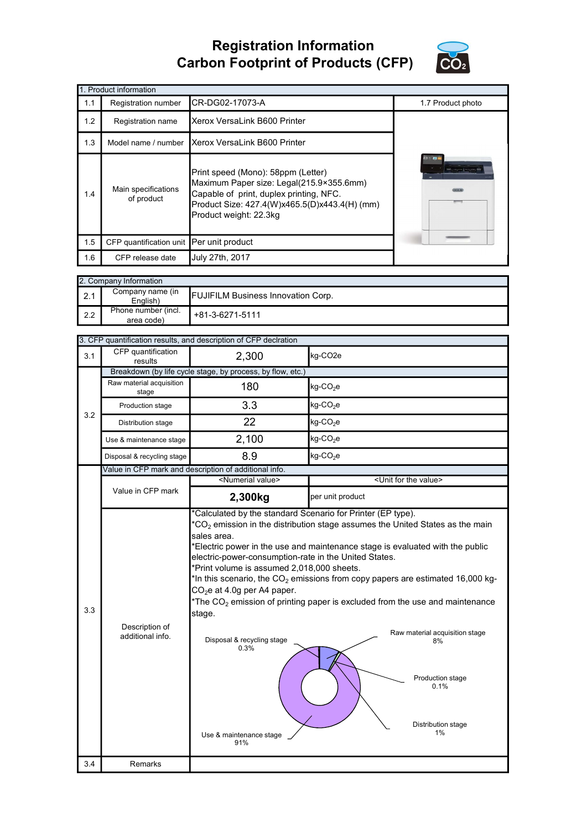## Registration Information Carbon Footprint of Products (CFP)



|     | 1. Product information                   |                                                                                                                                                                                                      |                   |
|-----|------------------------------------------|------------------------------------------------------------------------------------------------------------------------------------------------------------------------------------------------------|-------------------|
| 1.1 | Registration number                      | CR-DG02-17073-A                                                                                                                                                                                      | 1.7 Product photo |
| 1.2 | Registration name                        | Xerox VersaLink B600 Printer                                                                                                                                                                         |                   |
| 1.3 | Model name / number                      | Xerox VersaLink B600 Printer                                                                                                                                                                         |                   |
| 1.4 | Main specifications<br>of product        | Print speed (Mono): 58ppm (Letter)<br>Maximum Paper size: Legal(215.9×355.6mm)<br>Capable of print, duplex printing, NFC.<br>Product Size: 427.4(W)x465.5(D)x443.4(H) (mm)<br>Product weight: 22.3kg | 日本国               |
| 1.5 | CFP quantification unit Per unit product |                                                                                                                                                                                                      |                   |
| 1.6 | CFP release date                         | July 27th, 2017                                                                                                                                                                                      |                   |

| 2. Company Information |                                   |                                           |
|------------------------|-----------------------------------|-------------------------------------------|
| $\vert 2.1$            | Company name (in<br>English)      | <b>FUJIFILM Business Innovation Corp.</b> |
| l 2.2                  | Phone number (incl.<br>area code) | +81-3-6271-5111                           |

| CFP quantification<br>2,300<br>kg-CO <sub>2e</sub><br>3.1<br>results<br>Breakdown (by life cycle stage, by process, by flow, etc.)<br>Raw material acquisition<br>180<br>kg-CO <sub>2</sub> e<br>stage<br>3.3<br>$kg$ -CO <sub>2</sub> e<br>Production stage<br>3.2<br>22<br>kg-CO <sub>2</sub> e<br>Distribution stage<br>2,100<br>$kg$ -CO <sub>2</sub> e<br>Use & maintenance stage<br>8.9<br>$kg$ -CO <sub>2</sub> e<br>Disposal & recycling stage<br>Value in CFP mark and description of additional info.<br><numerial value=""><br/><unit for="" the="" value=""><br/>Value in CFP mark<br/>2,300kg<br/>per unit product<br/>*Calculated by the standard Scenario for Printer (EP type).<br/><math>*CO2</math> emission in the distribution stage assumes the United States as the main<br/>sales area.<br/>*Electric power in the use and maintenance stage is evaluated with the public<br/>electric-power-consumption-rate in the United States.<br/>*Print volume is assumed 2,018,000 sheets.<br/>*In this scenario, the <math>CO2</math> emissions from copy papers are estimated 16,000 kg-<br/>CO<sub>2</sub>e at 4.0g per A4 paper.<br/>*The <math>CO2</math> emission of printing paper is excluded from the use and maintenance<br/>3.3<br/>stage.<br/>Description of<br/>Raw material acquisition stage<br/>additional info.<br/>Disposal &amp; recycling stage<br/>8%<br/>0.3%<br/>Production stage<br/>0.1%<br/>Distribution stage<br/>1%<br/>Use &amp; maintenance stage<br/>91%<br/>3.4<br/>Remarks</unit></numerial> |  | 3. CFP quantification results, and description of CFP declration |  |
|----------------------------------------------------------------------------------------------------------------------------------------------------------------------------------------------------------------------------------------------------------------------------------------------------------------------------------------------------------------------------------------------------------------------------------------------------------------------------------------------------------------------------------------------------------------------------------------------------------------------------------------------------------------------------------------------------------------------------------------------------------------------------------------------------------------------------------------------------------------------------------------------------------------------------------------------------------------------------------------------------------------------------------------------------------------------------------------------------------------------------------------------------------------------------------------------------------------------------------------------------------------------------------------------------------------------------------------------------------------------------------------------------------------------------------------------------------------------------------------------------------------------------------------------|--|------------------------------------------------------------------|--|
|                                                                                                                                                                                                                                                                                                                                                                                                                                                                                                                                                                                                                                                                                                                                                                                                                                                                                                                                                                                                                                                                                                                                                                                                                                                                                                                                                                                                                                                                                                                                              |  |                                                                  |  |
|                                                                                                                                                                                                                                                                                                                                                                                                                                                                                                                                                                                                                                                                                                                                                                                                                                                                                                                                                                                                                                                                                                                                                                                                                                                                                                                                                                                                                                                                                                                                              |  |                                                                  |  |
|                                                                                                                                                                                                                                                                                                                                                                                                                                                                                                                                                                                                                                                                                                                                                                                                                                                                                                                                                                                                                                                                                                                                                                                                                                                                                                                                                                                                                                                                                                                                              |  |                                                                  |  |
|                                                                                                                                                                                                                                                                                                                                                                                                                                                                                                                                                                                                                                                                                                                                                                                                                                                                                                                                                                                                                                                                                                                                                                                                                                                                                                                                                                                                                                                                                                                                              |  |                                                                  |  |
|                                                                                                                                                                                                                                                                                                                                                                                                                                                                                                                                                                                                                                                                                                                                                                                                                                                                                                                                                                                                                                                                                                                                                                                                                                                                                                                                                                                                                                                                                                                                              |  |                                                                  |  |
|                                                                                                                                                                                                                                                                                                                                                                                                                                                                                                                                                                                                                                                                                                                                                                                                                                                                                                                                                                                                                                                                                                                                                                                                                                                                                                                                                                                                                                                                                                                                              |  |                                                                  |  |
|                                                                                                                                                                                                                                                                                                                                                                                                                                                                                                                                                                                                                                                                                                                                                                                                                                                                                                                                                                                                                                                                                                                                                                                                                                                                                                                                                                                                                                                                                                                                              |  |                                                                  |  |
|                                                                                                                                                                                                                                                                                                                                                                                                                                                                                                                                                                                                                                                                                                                                                                                                                                                                                                                                                                                                                                                                                                                                                                                                                                                                                                                                                                                                                                                                                                                                              |  |                                                                  |  |
|                                                                                                                                                                                                                                                                                                                                                                                                                                                                                                                                                                                                                                                                                                                                                                                                                                                                                                                                                                                                                                                                                                                                                                                                                                                                                                                                                                                                                                                                                                                                              |  |                                                                  |  |
|                                                                                                                                                                                                                                                                                                                                                                                                                                                                                                                                                                                                                                                                                                                                                                                                                                                                                                                                                                                                                                                                                                                                                                                                                                                                                                                                                                                                                                                                                                                                              |  |                                                                  |  |
|                                                                                                                                                                                                                                                                                                                                                                                                                                                                                                                                                                                                                                                                                                                                                                                                                                                                                                                                                                                                                                                                                                                                                                                                                                                                                                                                                                                                                                                                                                                                              |  |                                                                  |  |
|                                                                                                                                                                                                                                                                                                                                                                                                                                                                                                                                                                                                                                                                                                                                                                                                                                                                                                                                                                                                                                                                                                                                                                                                                                                                                                                                                                                                                                                                                                                                              |  |                                                                  |  |